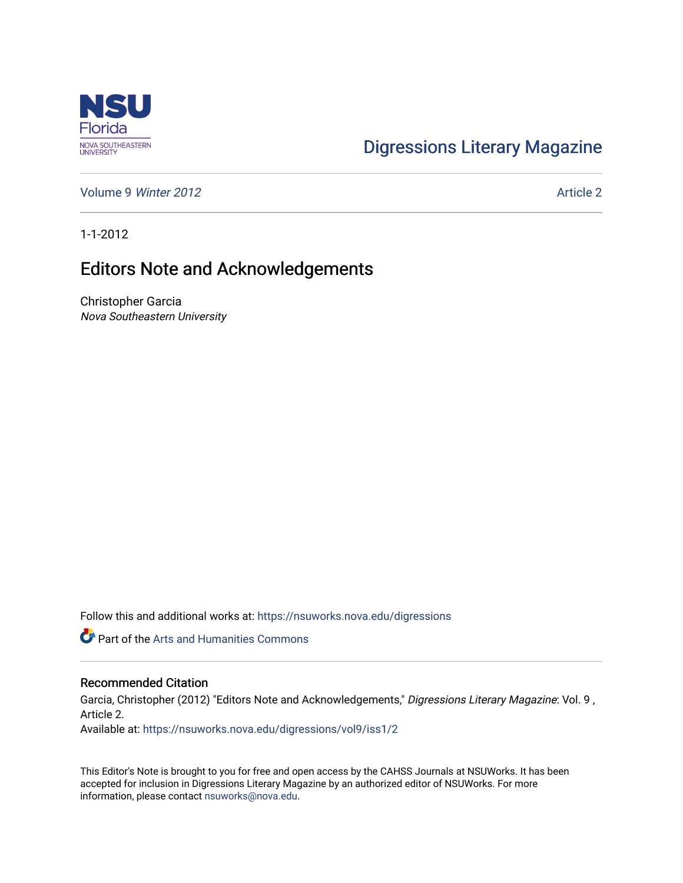

## [Digressions Literary Magazine](https://nsuworks.nova.edu/digressions)

[Volume 9](https://nsuworks.nova.edu/digressions/vol9) Winter 2012 **Article 2** Article 2

1-1-2012

## Editors Note and Acknowledgements

Christopher Garcia Nova Southeastern University

Follow this and additional works at: [https://nsuworks.nova.edu/digressions](https://nsuworks.nova.edu/digressions?utm_source=nsuworks.nova.edu%2Fdigressions%2Fvol9%2Fiss1%2F2&utm_medium=PDF&utm_campaign=PDFCoverPages) 

Part of the [Arts and Humanities Commons](http://network.bepress.com/hgg/discipline/438?utm_source=nsuworks.nova.edu%2Fdigressions%2Fvol9%2Fiss1%2F2&utm_medium=PDF&utm_campaign=PDFCoverPages) 

## Recommended Citation

Garcia, Christopher (2012) "Editors Note and Acknowledgements," Digressions Literary Magazine: Vol. 9 , Article 2.

Available at: [https://nsuworks.nova.edu/digressions/vol9/iss1/2](https://nsuworks.nova.edu/digressions/vol9/iss1/2?utm_source=nsuworks.nova.edu%2Fdigressions%2Fvol9%2Fiss1%2F2&utm_medium=PDF&utm_campaign=PDFCoverPages) 

This Editor's Note is brought to you for free and open access by the CAHSS Journals at NSUWorks. It has been accepted for inclusion in Digressions Literary Magazine by an authorized editor of NSUWorks. For more information, please contact [nsuworks@nova.edu.](mailto:nsuworks@nova.edu)